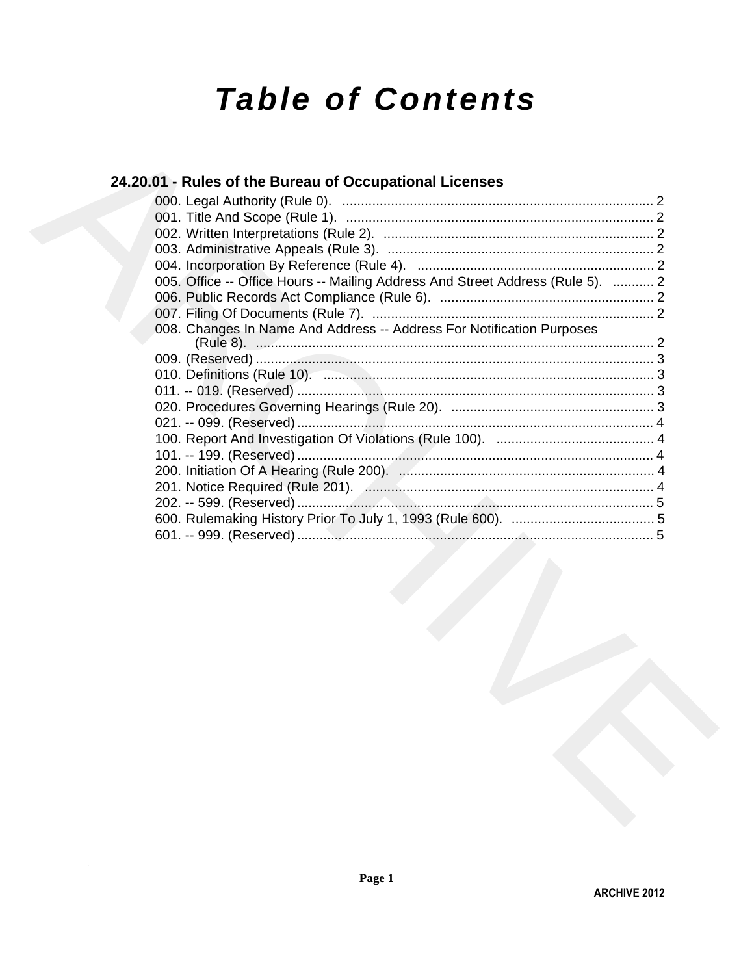# **Table of Contents**

# 24.20.01 - Rules of the Bureau of Occupational Licenses

|  | 005. Office -- Office Hours -- Mailing Address And Street Address (Rule 5).  2 |  |
|--|--------------------------------------------------------------------------------|--|
|  |                                                                                |  |
|  |                                                                                |  |
|  | 008. Changes In Name And Address -- Address For Notification Purposes          |  |
|  |                                                                                |  |
|  |                                                                                |  |
|  |                                                                                |  |
|  |                                                                                |  |
|  |                                                                                |  |
|  |                                                                                |  |
|  |                                                                                |  |
|  |                                                                                |  |
|  |                                                                                |  |
|  |                                                                                |  |
|  |                                                                                |  |
|  |                                                                                |  |
|  |                                                                                |  |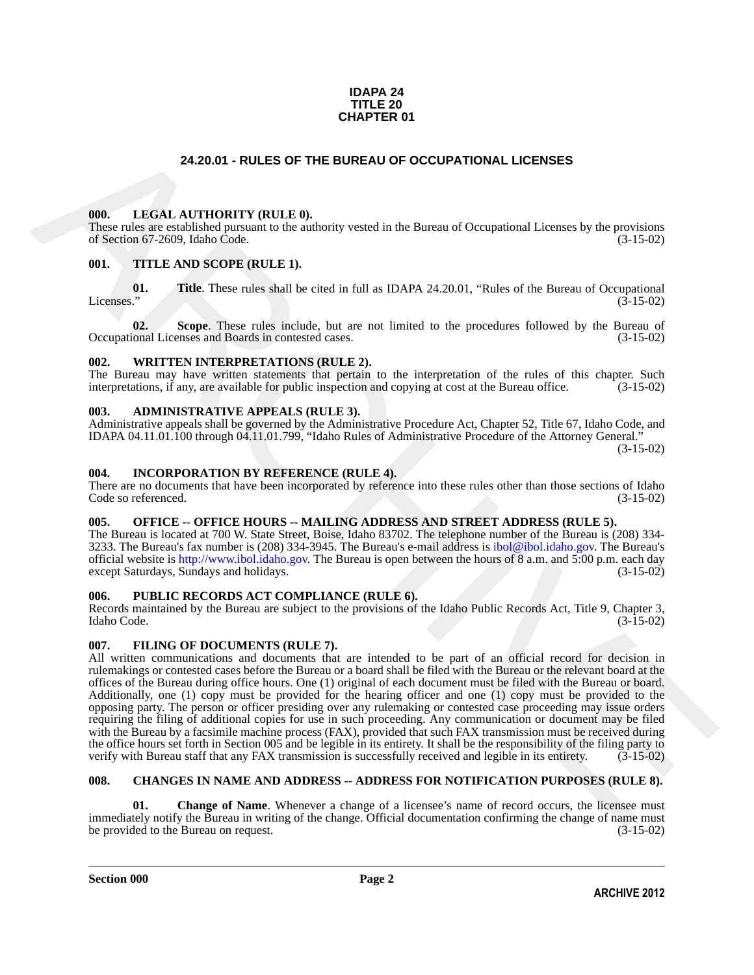#### **IDAPA 24 TITLE 20 CHAPTER 01**

# **24.20.01 - RULES OF THE BUREAU OF OCCUPATIONAL LICENSES**

#### <span id="page-1-1"></span><span id="page-1-0"></span>**000. LEGAL AUTHORITY (RULE 0).**

These rules are established pursuant to the authority vested in the Bureau of Occupational Licenses by the provisions of Section 67-2609, Idaho Code. (3-15-02) of Section 67-2609, Idaho Code.

### <span id="page-1-2"></span>**001. TITLE AND SCOPE (RULE 1).**

**01.** Title. These rules shall be cited in full as IDAPA 24.20.01, "Rules of the Bureau of Occupational Licenses." (3-15-02) Licenses." (3-15-02)

**02.** Scope. These rules include, but are not limited to the procedures followed by the Bureau of ional Licenses and Boards in contested cases. (3-15-02) Occupational Licenses and Boards in contested cases.

#### <span id="page-1-3"></span>**002. WRITTEN INTERPRETATIONS (RULE 2).**

The Bureau may have written statements that pertain to the interpretation of the rules of this chapter. Such interpretations, if any, are available for public inspection and copying at cost at the Bureau office. (3-15-02) interpretations, if any, are available for public inspection and copying at cost at the Bureau office.

#### <span id="page-1-4"></span>**003. ADMINISTRATIVE APPEALS (RULE 3).**

Administrative appeals shall be governed by the Administrative Procedure Act, Chapter 52, Title 67, Idaho Code, and IDAPA 04.11.01.100 through 04.11.01.799, "Idaho Rules of Administrative Procedure of the Attorney General."

(3-15-02)

### <span id="page-1-5"></span>**004. INCORPORATION BY REFERENCE (RULE 4).**

There are no documents that have been incorporated by reference into these rules other than those sections of Idaho<br>Code so referenced. (3-15-02) Code so referenced.

# <span id="page-1-6"></span>**005. OFFICE -- OFFICE HOURS -- MAILING ADDRESS AND STREET ADDRESS (RULE 5).**

The Bureau is located at 700 W. State Street, Boise, Idaho 83702. The telephone number of the Bureau is (208) 334- 3233. The Bureau's fax number is (208) 334-3945. The Bureau's e-mail address is ibol@ibol.idaho.gov. The Bureau's official website is http://www.ibol.idaho.gov. The Bureau is open between the hours of 8 a.m. and 5:00 p.m. each day except Saturdays, Sundays and holidays. (3-15-02)

### <span id="page-1-7"></span>**006. PUBLIC RECORDS ACT COMPLIANCE (RULE 6).**

Records maintained by the Bureau are subject to the provisions of the Idaho Public Records Act, Title 9, Chapter 3, Idaho Code. (3-15-02)

#### <span id="page-1-12"></span><span id="page-1-8"></span>**007. FILING OF DOCUMENTS (RULE 7).**

**24.20.01 - RULES OF THE BUREAU OF OCCUPATIONAL LICENSES<br>
100.** LEGAL ATHTORTY (RULE),<br>
The mean of the mean of the mean of the same of Contraction Hierarchives by the metission<br>
The mean of the mean of the mean of the me All written communications and documents that are intended to be part of an official record for decision in rulemakings or contested cases before the Bureau or a board shall be filed with the Bureau or the relevant board at the offices of the Bureau during office hours. One (1) original of each document must be filed with the Bureau or board. Additionally, one (1) copy must be provided for the hearing officer and one (1) copy must be provided to the opposing party. The person or officer presiding over any rulemaking or contested case proceeding may issue orders requiring the filing of additional copies for use in such proceeding. Any communication or document may be filed with the Bureau by a facsimile machine process (FAX), provided that such FAX transmission must be received during the office hours set forth in Section 005 and be legible in its entirety. It shall be the responsibility of the filing party to verify with Bureau staff that any FAX transmission is successfully received and legible in its verify with Bureau staff that any FAX transmission is successfully received and legible in its entirety.

#### <span id="page-1-10"></span><span id="page-1-9"></span>**008. CHANGES IN NAME AND ADDRESS -- ADDRESS FOR NOTIFICATION PURPOSES (RULE 8).**

<span id="page-1-11"></span>**Change of Name.** Whenever a change of a licensee's name of record occurs, the licensee must immediately notify the Bureau in writing of the change. Official documentation confirming the change of name must<br>(3-15-02) (3-15-02) be provided to the Bureau on request.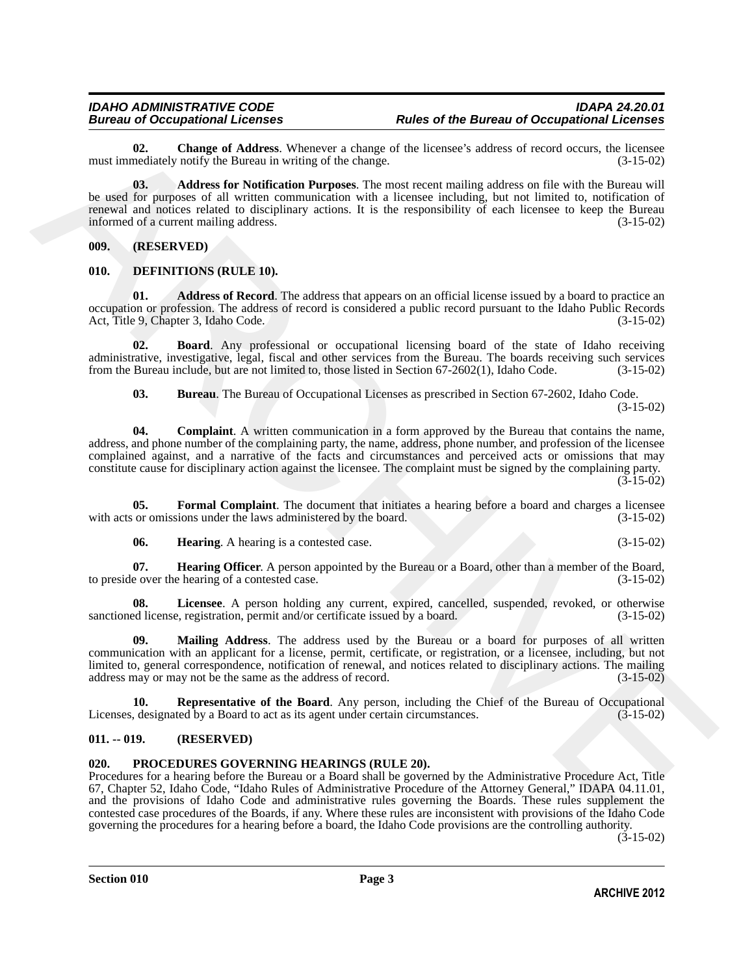<span id="page-2-5"></span>**02.** Change of Address. Whenever a change of the licensee's address of record occurs, the licensee mediately notify the Bureau in writing of the change. (3-15-02) must immediately notify the Bureau in writing of the change.

<span id="page-2-4"></span>**03. Address for Notification Purposes**. The most recent mailing address on file with the Bureau will be used for purposes of all written communication with a licensee including, but not limited to, notification of renewal and notices related to disciplinary actions. It is the responsibility of each licensee to keep the Bureau informed of a current mailing address. (3-15-02) informed of a current mailing address.

<span id="page-2-0"></span>**009. (RESERVED)**

# <span id="page-2-6"></span><span id="page-2-1"></span>**010. DEFINITIONS (RULE 10).**

<span id="page-2-7"></span>**01. Address of Record**. The address that appears on an official license issued by a board to practice an occupation or profession. The address of record is considered a public record pursuant to the Idaho Public Records Act, Title 9, Chapter 3, Idaho Code. (3-15-02)

**02. Board**. Any professional or occupational licensing board of the state of Idaho receiving administrative, investigative, legal, fiscal and other services from the Bureau. The boards receiving such services from the Bureau include, but are not limited to, those listed in Section 67-2602(1), Idaho Code. (3-15-02)

<span id="page-2-10"></span><span id="page-2-9"></span><span id="page-2-8"></span>**03. Bureau**. The Bureau of Occupational Licenses as prescribed in Section 67-2602, Idaho Code. (3-15-02)

The Case of Material of the Material of the Barameters and the search scheme of the Barameters and the search of the Singh Case (a) Matter of the Singh Advisor Scheme and the search of the Singh Advisor Scheme and the Sin **04. Complaint**. A written communication in a form approved by the Bureau that contains the name, address, and phone number of the complaining party, the name, address, phone number, and profession of the licensee complained against, and a narrative of the facts and circumstances and perceived acts or omissions that may constitute cause for disciplinary action against the licensee. The complaint must be signed by the complaining party.  $(3-15-02)$ 

**05. Formal Complaint**. The document that initiates a hearing before a board and charges a licensee with acts or omissions under the laws administered by the board. (3-15-02)

<span id="page-2-14"></span><span id="page-2-13"></span><span id="page-2-12"></span><span id="page-2-11"></span>**06. Hearing**. A hearing is a contested case. (3-15-02)

**07. Hearing Officer**. A person appointed by the Bureau or a Board, other than a member of the Board, e over the hearing of a contested case. to preside over the hearing of a contested case.

**08. Licensee**. A person holding any current, expired, cancelled, suspended, revoked, or otherwise sanctioned license, registration, permit and/or certificate issued by a board. (3-15-02)

<span id="page-2-15"></span>**Mailing Address**. The address used by the Bureau or a board for purposes of all written communication with an applicant for a license, permit, certificate, or registration, or a licensee, including, but not limited to, general correspondence, notification of renewal, and notices related to disciplinary actions. The mailing address may or may not be the same as the address of record. (3-15-02) address may or may not be the same as the address of record.

<span id="page-2-16"></span>**Representative of the Board**. Any person, including the Chief of the Bureau of Occupational ted by a Board to act as its agent under certain circumstances. (3-15-02) Licenses, designated by a Board to act as its agent under certain circumstances.

# <span id="page-2-2"></span>**011. -- 019. (RESERVED)**

# <span id="page-2-17"></span><span id="page-2-3"></span>**020. PROCEDURES GOVERNING HEARINGS (RULE 20).**

Procedures for a hearing before the Bureau or a Board shall be governed by the Administrative Procedure Act, Title 67, Chapter 52, Idaho Code, "Idaho Rules of Administrative Procedure of the Attorney General," IDAPA 04.11.01, and the provisions of Idaho Code and administrative rules governing the Boards. These rules supplement the contested case procedures of the Boards, if any. Where these rules are inconsistent with provisions of the Idaho Code governing the procedures for a hearing before a board, the Idaho Code provisions are the controlling authority.

(3-15-02)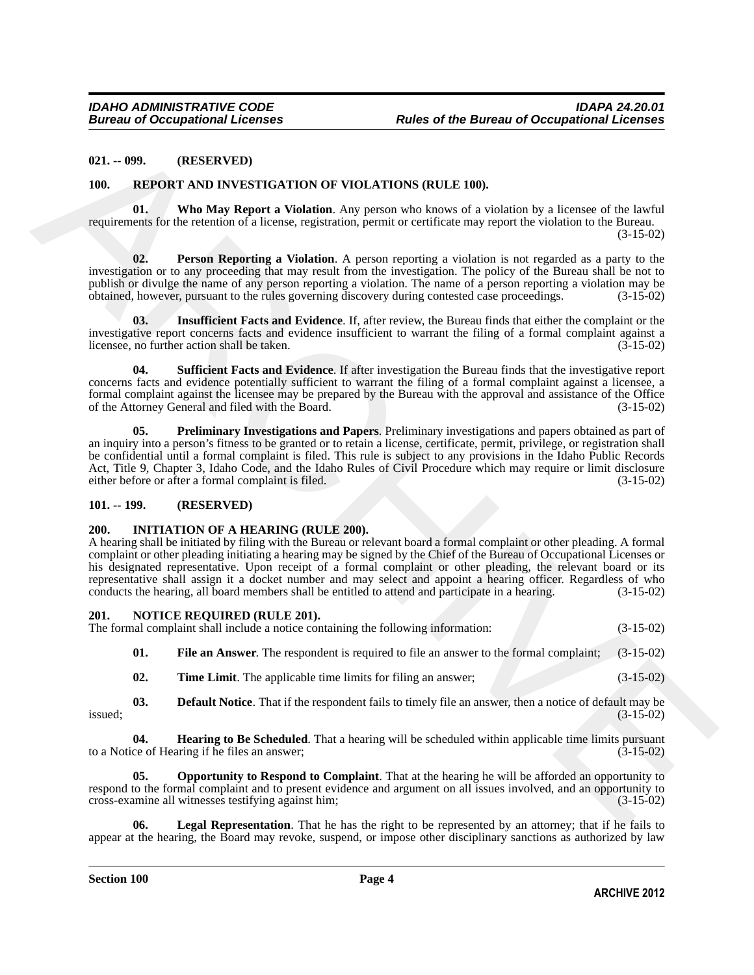#### <span id="page-3-0"></span>**021. -- 099. (RESERVED)**

#### <span id="page-3-18"></span><span id="page-3-13"></span><span id="page-3-1"></span>**100. REPORT AND INVESTIGATION OF VIOLATIONS (RULE 100).**

**01. Who May Report a Violation**. Any person who knows of a violation by a licensee of the lawful requirements for the retention of a license, registration, permit or certificate may report the violation to the Bureau. (3-15-02)

<span id="page-3-15"></span>**02. Person Reporting a Violation**. A person reporting a violation is not regarded as a party to the investigation or to any proceeding that may result from the investigation. The policy of the Bureau shall be not to publish or divulge the name of any person reporting a violation. The name of a person reporting a violation may be obtained, however, pursuant to the rules governing discovery during contested case proceedings. (3-15-02) obtained, however, pursuant to the rules governing discovery during contested case proceedings. (3-15-02)

<span id="page-3-14"></span>**03. Insufficient Facts and Evidence**. If, after review, the Bureau finds that either the complaint or the investigative report concerns facts and evidence insufficient to warrant the filing of a formal complaint against a licensee, no further action shall be taken. (3-15-02) licensee, no further action shall be taken.

<span id="page-3-17"></span><span id="page-3-16"></span>**04. Sufficient Facts and Evidence**. If after investigation the Bureau finds that the investigative report concerns facts and evidence potentially sufficient to warrant the filing of a formal complaint against a licensee, a formal complaint against the licensee may be prepared by the Bureau with the approval and assistance of the Office of the Attorney General and filed with the Board. (3-15-02)

**(i)1. •• 099.** (RESERVED)<br>
100. REPORT AND INVESTIGATION OF VIOLATIONS (RULE 160).<br>
100. REPORT AND INVESTIGATION OF VIOLATIONS (RULE 160).<br>
Notice of the local of the basic point of Violation Application Fermi or evolut **05. Preliminary Investigations and Papers**. Preliminary investigations and papers obtained as part of an inquiry into a person's fitness to be granted or to retain a license, certificate, permit, privilege, or registration shall be confidential until a formal complaint is filed. This rule is subject to any provisions in the Idaho Public Records Act, Title 9, Chapter 3, Idaho Code, and the Idaho Rules of Civil Procedure which may require or limit disclosure either before or after a formal complaint is filed. (3-15-02) either before or after a formal complaint is filed.

#### <span id="page-3-2"></span>**101. -- 199. (RESERVED)**

#### <span id="page-3-5"></span><span id="page-3-3"></span>**200. INITIATION OF A HEARING (RULE 200).**

A hearing shall be initiated by filing with the Bureau or relevant board a formal complaint or other pleading. A formal complaint or other pleading initiating a hearing may be signed by the Chief of the Bureau of Occupational Licenses or his designated representative. Upon receipt of a formal complaint or other pleading, the relevant board or its representative shall assign it a docket number and may select and appoint a hearing officer. Regardless of who conducts the hearing, all board members shall be entitled to attend and participate in a hearing. (3-15-02) conducts the hearing, all board members shall be entitled to attend and participate in a hearing.

# <span id="page-3-6"></span><span id="page-3-4"></span>**201. NOTICE REQUIRED (RULE 201).** The formal complaint shall include a notice containing the following information: (3-15-02)

<span id="page-3-8"></span>**01. File an Answer**. The respondent is required to file an answer to the formal complaint; (3-15-02)

<span id="page-3-12"></span><span id="page-3-9"></span><span id="page-3-7"></span>**02. Time Limit**. The applicable time limits for filing an answer; (3-15-02)

**03. Default Notice**. That if the respondent fails to timely file an answer, then a notice of default may be  $(3-15-02)$  $i$ ssued;  $(3-15-02)$ 

**04. Hearing to Be Scheduled**. That a hearing will be scheduled within applicable time limits pursuant ce of Hearing if he files an answer; (3-15-02) to a Notice of Hearing if he files an answer;

<span id="page-3-11"></span>**05. Opportunity to Respond to Complaint**. That at the hearing he will be afforded an opportunity to respond to the formal complaint and to present evidence and argument on all issues involved, and an opportunity to cross-examine all witnesses testifying against him; (3-15-02) cross-examine all witnesses testifying against him; (3-15-02)

<span id="page-3-10"></span>**Legal Representation**. That he has the right to be represented by an attorney; that if he fails to appear at the hearing, the Board may revoke, suspend, or impose other disciplinary sanctions as authorized by law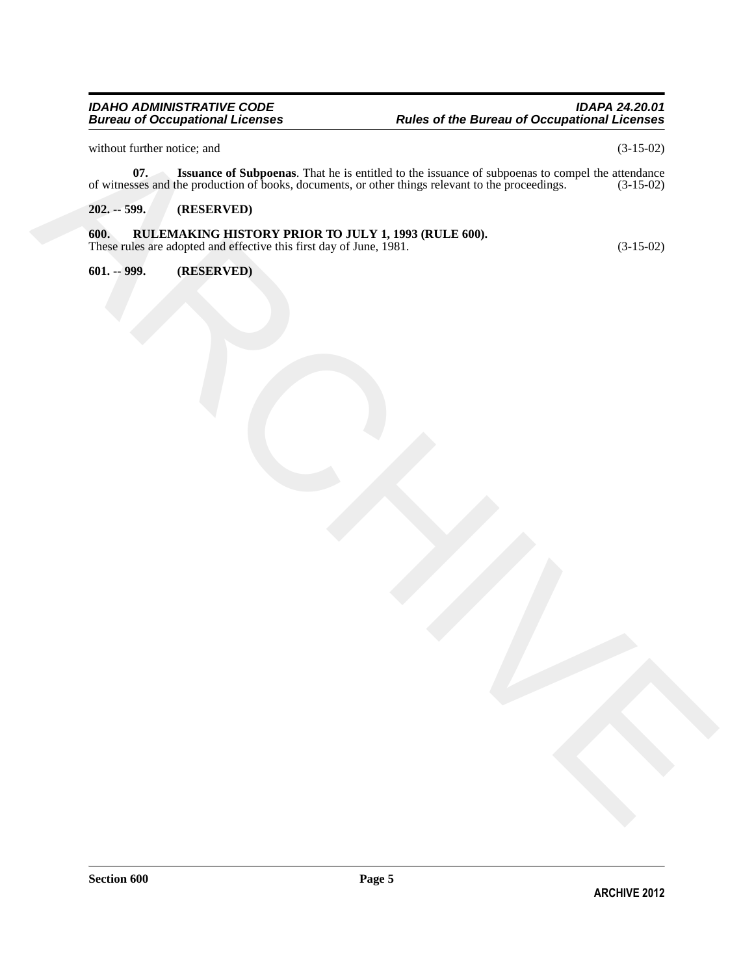<span id="page-4-3"></span>without further notice; and  $(3-15-02)$ 

where the formula state of Marchives The Lie is entitled to the business of subspace in compatible of the state of the state of the state of the state of the state of the state of the state of the state of the state of th **07.** Issuance of Subpoenas. That he is entitled to the issuance of subpoenas to compel the attendance sees and the production of books, documents, or other things relevant to the proceedings. (3-15-02) of witnesses and the production of books, documents, or other things relevant to the proceedings.

# <span id="page-4-0"></span>**202. -- 599. (RESERVED)**

# <span id="page-4-1"></span>**600. RULEMAKING HISTORY PRIOR TO JULY 1, 1993 (RULE 600).**

These rules are adopted and effective this first day of June, 1981. (3-15-02)

<span id="page-4-2"></span>**601. -- 999. (RESERVED)**